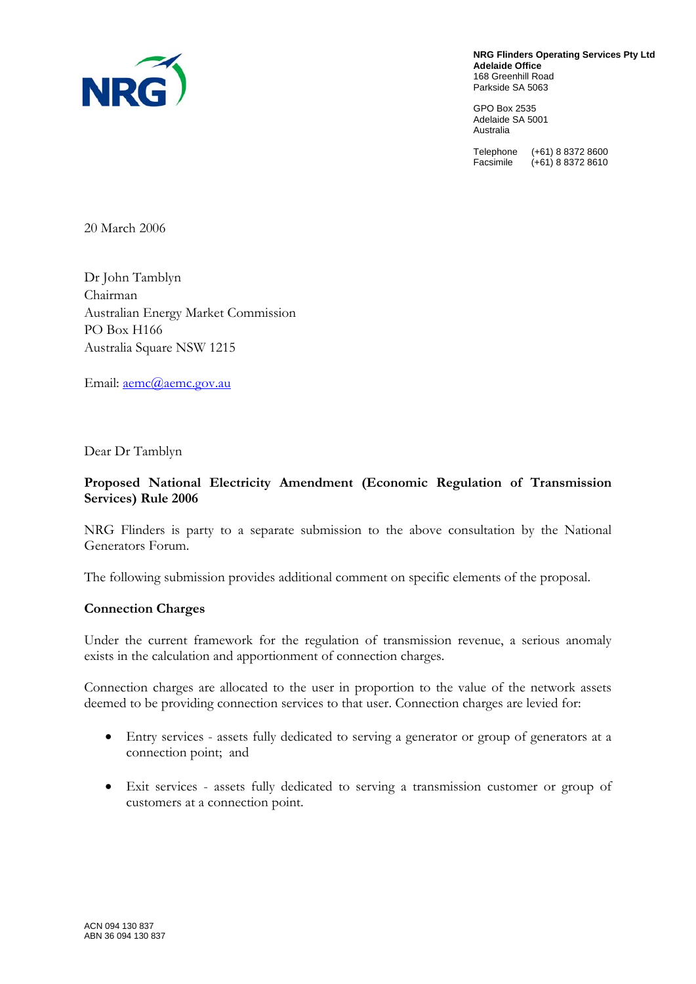

**NRG Flinders Operating Services Pty Ltd Adelaide Office**  168 Greenhill Road Parkside SA 5063

GPO Box 2535 Adelaide SA 5001 Australia

Telephone (+61) 8 8372 8600 Facsimile (+61) 8 8372 8610

20 March 2006

Dr John Tamblyn Chairman Australian Energy Market Commission PO Box H166 Australia Square NSW 1215

Email: <u>aemc@aemc.gov.au</u>

Dear Dr Tamblyn

## **Proposed National Electricity Amendment (Economic Regulation of Transmission Services) Rule 2006**

NRG Flinders is party to a separate submission to the above consultation by the National Generators Forum.

The following submission provides additional comment on specific elements of the proposal.

## **Connection Charges**

Under the current framework for the regulation of transmission revenue, a serious anomaly exists in the calculation and apportionment of connection charges.

Connection charges are allocated to the user in proportion to the value of the network assets deemed to be providing connection services to that user. Connection charges are levied for:

- Entry services assets fully dedicated to serving a generator or group of generators at a connection point; and
- Exit services assets fully dedicated to serving a transmission customer or group of customers at a connection point.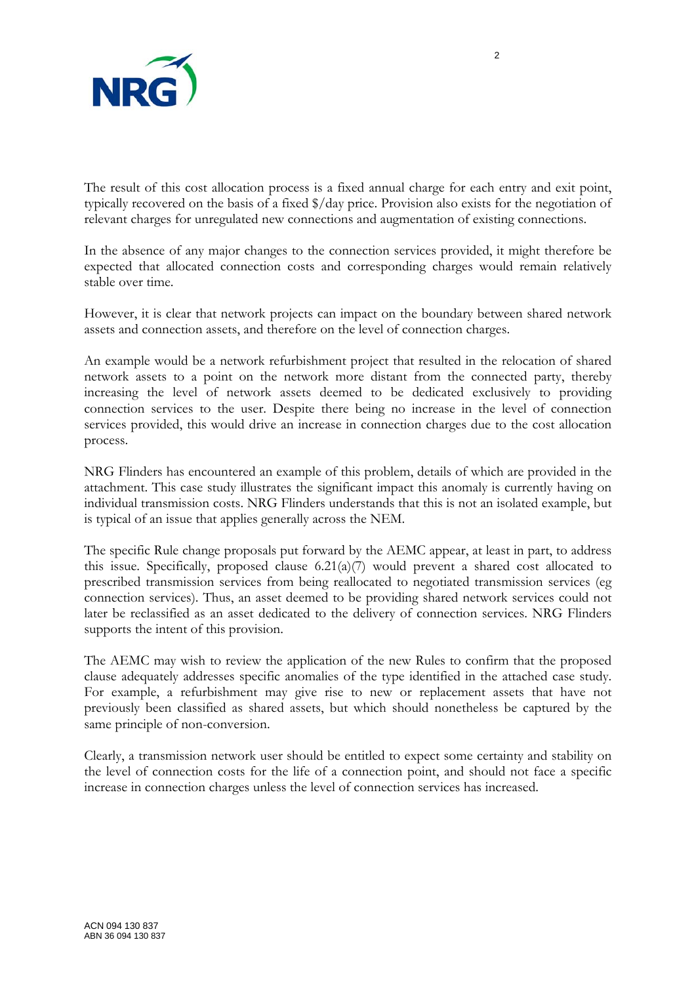

The result of this cost allocation process is a fixed annual charge for each entry and exit point, typically recovered on the basis of a fixed \$/day price. Provision also exists for the negotiation of relevant charges for unregulated new connections and augmentation of existing connections.

In the absence of any major changes to the connection services provided, it might therefore be expected that allocated connection costs and corresponding charges would remain relatively stable over time.

However, it is clear that network projects can impact on the boundary between shared network assets and connection assets, and therefore on the level of connection charges.

An example would be a network refurbishment project that resulted in the relocation of shared network assets to a point on the network more distant from the connected party, thereby increasing the level of network assets deemed to be dedicated exclusively to providing connection services to the user. Despite there being no increase in the level of connection services provided, this would drive an increase in connection charges due to the cost allocation process.

NRG Flinders has encountered an example of this problem, details of which are provided in the attachment. This case study illustrates the significant impact this anomaly is currently having on individual transmission costs. NRG Flinders understands that this is not an isolated example, but is typical of an issue that applies generally across the NEM.

The specific Rule change proposals put forward by the AEMC appear, at least in part, to address this issue. Specifically, proposed clause  $6.21(a)(7)$  would prevent a shared cost allocated to prescribed transmission services from being reallocated to negotiated transmission services (eg connection services). Thus, an asset deemed to be providing shared network services could not later be reclassified as an asset dedicated to the delivery of connection services. NRG Flinders supports the intent of this provision.

The AEMC may wish to review the application of the new Rules to confirm that the proposed clause adequately addresses specific anomalies of the type identified in the attached case study. For example, a refurbishment may give rise to new or replacement assets that have not previously been classified as shared assets, but which should nonetheless be captured by the same principle of non-conversion.

Clearly, a transmission network user should be entitled to expect some certainty and stability on the level of connection costs for the life of a connection point, and should not face a specific increase in connection charges unless the level of connection services has increased.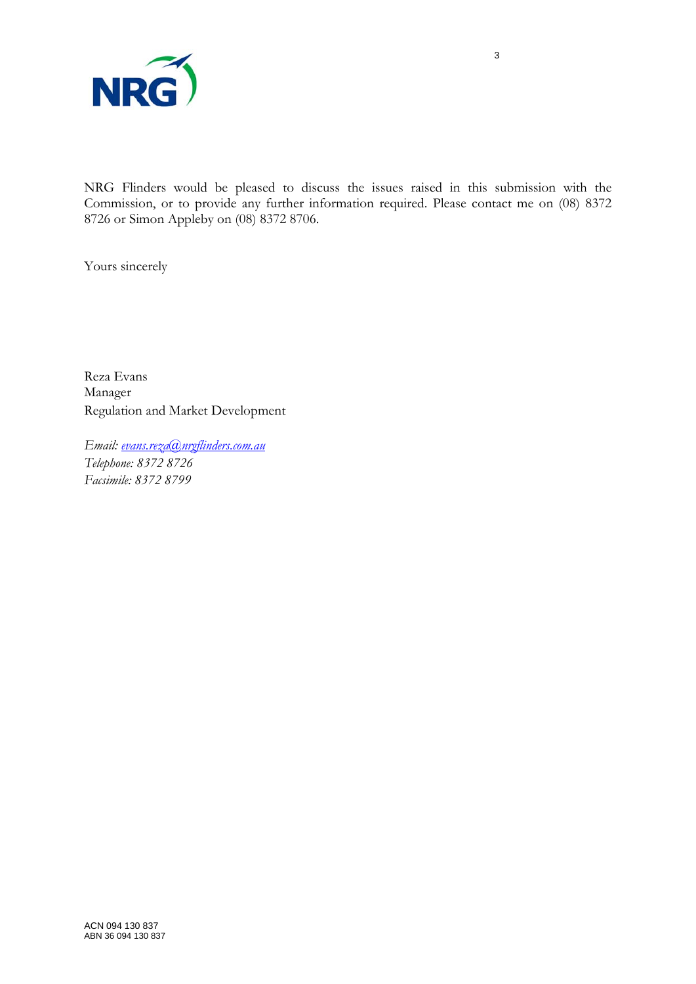

NRG Flinders would be pleased to discuss the issues raised in this submission with the Commission, or to provide any further information required. Please contact me on (08) 8372 8726 or Simon Appleby on (08) 8372 8706.

Yours sincerely

Reza Evans Manager Regulation and Market Development

*Email: [evans.reza@nrgflinders.com.au](mailto:evans.reza@nrgflinders.com.au) Telephone: 8372 8726 Facsimile: 8372 8799*